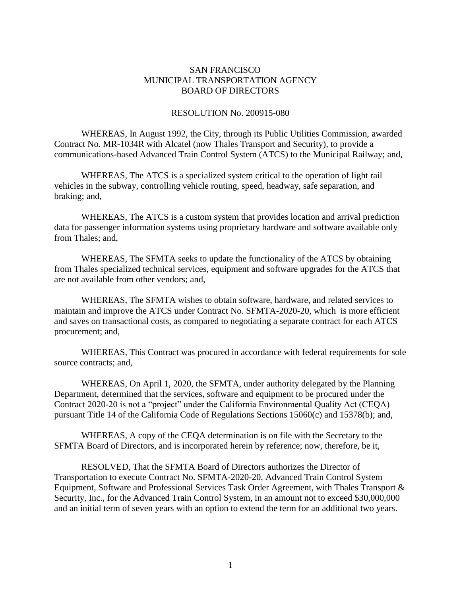## SAN FRANCISCO MUNICIPAL TRANSPORTATION AGENCY BOARD OF DIRECTORS

## RESOLUTION No. 200915-080

WHEREAS, In August 1992, the City, through its Public Utilities Commission, awarded Contract No. MR-1034R with Alcatel (now Thales Transport and Security), to provide a communications-based Advanced Train Control System (ATCS) to the Municipal Railway; and,

WHEREAS, The ATCS is a specialized system critical to the operation of light rail vehicles in the subway, controlling vehicle routing, speed, headway, safe separation, and braking; and,

WHEREAS, The ATCS is a custom system that provides location and arrival prediction data for passenger information systems using proprietary hardware and software available only from Thales; and,

WHEREAS, The SFMTA seeks to update the functionality of the ATCS by obtaining from Thales specialized technical services, equipment and software upgrades for the ATCS that are not available from other vendors; and,

WHEREAS, The SFMTA wishes to obtain software, hardware, and related services to maintain and improve the ATCS under Contract No. SFMTA-2020-20, which is more efficient and saves on transactional costs, as compared to negotiating a separate contract for each ATCS procurement; and,

WHEREAS, This Contract was procured in accordance with federal requirements for sole source contracts; and,

WHEREAS, On April 1, 2020, the SFMTA, under authority delegated by the Planning Department, determined that the services, software and equipment to be procured under the Contract 2020-20 is not a "project" under the California Environmental Quality Act (CEQA) pursuant Title 14 of the California Code of Regulations Sections 15060(c) and 15378(b); and,

WHEREAS, A copy of the CEQA determination is on file with the Secretary to the SFMTA Board of Directors, and is incorporated herein by reference; now, therefore, be it,

RESOLVED, That the SFMTA Board of Directors authorizes the Director of Transportation to execute Contract No. SFMTA-2020-20, Advanced Train Control System Equipment, Software and Professional Services Task Order Agreement, with Thales Transport & Security, Inc., for the Advanced Train Control System, in an amount not to exceed \$30,000,000 and an initial term of seven years with an option to extend the term for an additional two years.